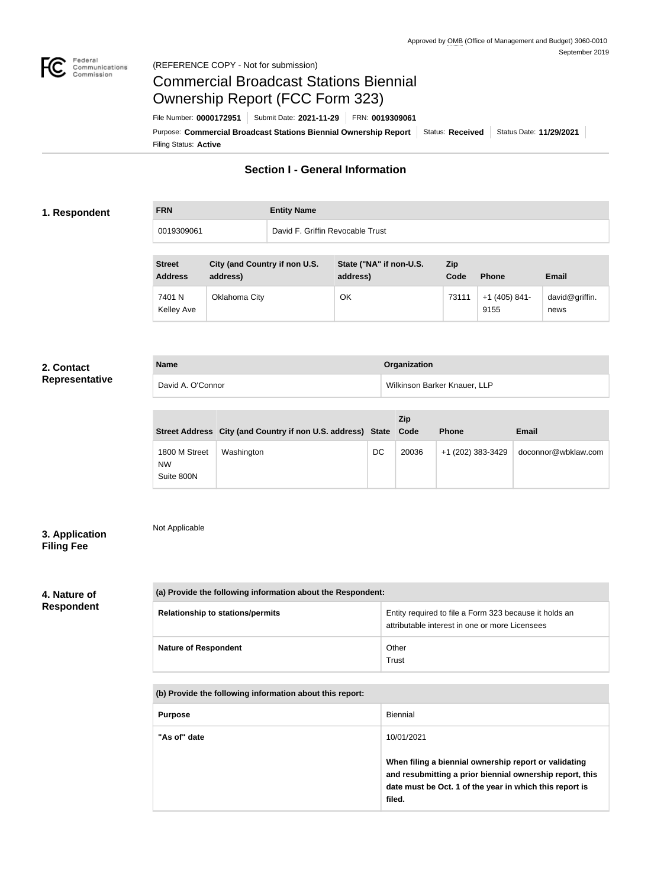

### Federal<br>Communications<br>Commission (REFERENCE COPY - Not for submission)

## Commercial Broadcast Stations Biennial Ownership Report (FCC Form 323)

Filing Status: **Active** Purpose: Commercial Broadcast Stations Biennial Ownership Report Status: Received Status Date: 11/29/2021 File Number: **0000172951** Submit Date: **2021-11-29** FRN: **0019309061**

### **Section I - General Information**

### **1. Respondent**

**FRN Entity Name** 0019309061 David F. Griffin Revocable Trust

| <b>Street</b><br><b>Address</b> | <b>City (and Country if non U.S.</b><br>address) | State ("NA" if non-U.S.<br>address) | Zip<br>Code | <b>Phone</b>            | <b>Email</b>           |
|---------------------------------|--------------------------------------------------|-------------------------------------|-------------|-------------------------|------------------------|
| 7401 N<br>Kelley Ave            | Oklahoma City                                    | ОК                                  | 73111       | $+1$ (405) 841-<br>9155 | david@griffin.<br>news |

### **2. Contact Representative**

| <b>Name</b>       | Organization                 |
|-------------------|------------------------------|
| David A. O'Connor | Wilkinson Barker Knauer, LLP |

|                                          | Street Address City (and Country if non U.S. address) State Code |    | <b>Zip</b> | <b>Phone</b>      | <b>Email</b>        |
|------------------------------------------|------------------------------------------------------------------|----|------------|-------------------|---------------------|
| 1800 M Street<br><b>NW</b><br>Suite 800N | Washington                                                       | DC | 20036      | +1 (202) 383-3429 | doconnor@wbklaw.com |

### **3. Application Filing Fee**

# Not Applicable

### **4. Nature of Respondent**

| (a) Provide the following information about the Respondent: |                                                                                                          |
|-------------------------------------------------------------|----------------------------------------------------------------------------------------------------------|
| <b>Relationship to stations/permits</b>                     | Entity required to file a Form 323 because it holds an<br>attributable interest in one or more Licensees |
| <b>Nature of Respondent</b>                                 | Other<br>Trust                                                                                           |

**(b) Provide the following information about this report:**

| <b>Purpose</b> | Biennial                                                                                                                                                                               |
|----------------|----------------------------------------------------------------------------------------------------------------------------------------------------------------------------------------|
| "As of" date   | 10/01/2021                                                                                                                                                                             |
|                | When filing a biennial ownership report or validating<br>and resubmitting a prior biennial ownership report, this<br>date must be Oct. 1 of the year in which this report is<br>filed. |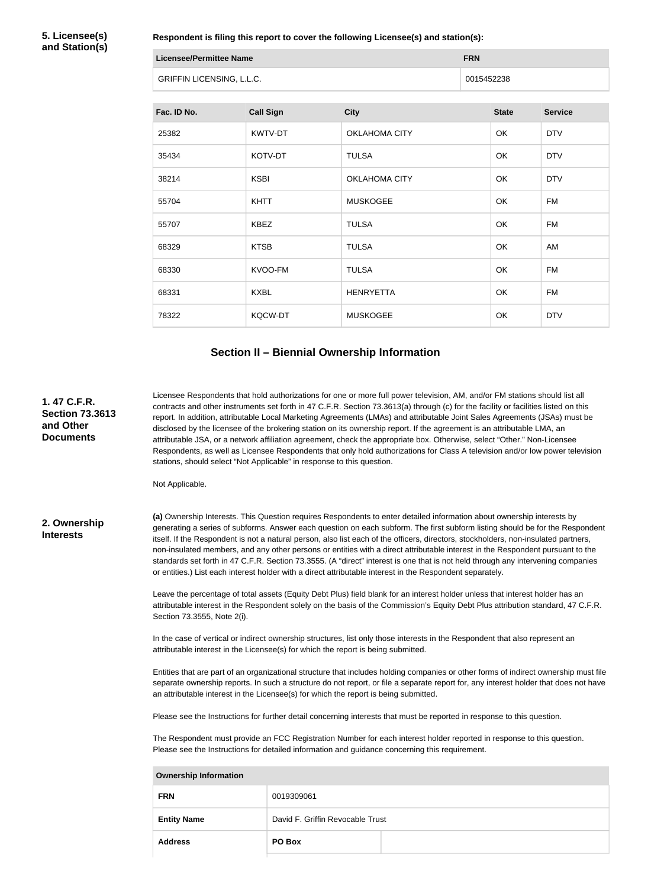**5. Licensee(s) and Station(s)**

**Respondent is filing this report to cover the following Licensee(s) and station(s):**

| Licensee/Permittee Name          | <b>FRN</b> |
|----------------------------------|------------|
| <b>GRIFFIN LICENSING, L.L.C.</b> | 0015452238 |

| Fac. ID No. | <b>Call Sign</b> | <b>City</b>          | <b>State</b> | <b>Service</b> |
|-------------|------------------|----------------------|--------------|----------------|
| 25382       | KWTV-DT          | OKLAHOMA CITY        | OK           | <b>DTV</b>     |
| 35434       | KOTV-DT          | <b>TULSA</b>         | OK           | <b>DTV</b>     |
| 38214       | <b>KSBI</b>      | <b>OKLAHOMA CITY</b> | OK           | <b>DTV</b>     |
| 55704       | <b>KHTT</b>      | <b>MUSKOGEE</b>      | OK           | <b>FM</b>      |
| 55707       | <b>KBEZ</b>      | <b>TULSA</b>         | OK           | <b>FM</b>      |
| 68329       | <b>KTSB</b>      | <b>TULSA</b>         | OK           | AM             |
| 68330       | KVOO-FM          | <b>TULSA</b>         | OK           | <b>FM</b>      |
| 68331       | <b>KXBL</b>      | <b>HENRYETTA</b>     | OK           | <b>FM</b>      |
| 78322       | <b>KQCW-DT</b>   | <b>MUSKOGEE</b>      | OK           | <b>DTV</b>     |

### **Section II – Biennial Ownership Information**

Licensee Respondents that hold authorizations for one or more full power television, AM, and/or FM stations should list all contracts and other instruments set forth in 47 C.F.R. Section 73.3613(a) through (c) for the facility or facilities listed on this report. In addition, attributable Local Marketing Agreements (LMAs) and attributable Joint Sales Agreements (JSAs) must be disclosed by the licensee of the brokering station on its ownership report. If the agreement is an attributable LMA, an attributable JSA, or a network affiliation agreement, check the appropriate box. Otherwise, select "Other." Non-Licensee Respondents, as well as Licensee Respondents that only hold authorizations for Class A television and/or low power television stations, should select "Not Applicable" in response to this question.

Not Applicable.

#### **2. Ownership Interests**

**1. 47 C.F.R. Section 73.3613** 

**and Other Documents**

> **(a)** Ownership Interests. This Question requires Respondents to enter detailed information about ownership interests by generating a series of subforms. Answer each question on each subform. The first subform listing should be for the Respondent itself. If the Respondent is not a natural person, also list each of the officers, directors, stockholders, non-insulated partners, non-insulated members, and any other persons or entities with a direct attributable interest in the Respondent pursuant to the standards set forth in 47 C.F.R. Section 73.3555. (A "direct" interest is one that is not held through any intervening companies or entities.) List each interest holder with a direct attributable interest in the Respondent separately.

> Leave the percentage of total assets (Equity Debt Plus) field blank for an interest holder unless that interest holder has an attributable interest in the Respondent solely on the basis of the Commission's Equity Debt Plus attribution standard, 47 C.F.R. Section 73.3555, Note 2(i).

In the case of vertical or indirect ownership structures, list only those interests in the Respondent that also represent an attributable interest in the Licensee(s) for which the report is being submitted.

Entities that are part of an organizational structure that includes holding companies or other forms of indirect ownership must file separate ownership reports. In such a structure do not report, or file a separate report for, any interest holder that does not have an attributable interest in the Licensee(s) for which the report is being submitted.

Please see the Instructions for further detail concerning interests that must be reported in response to this question.

The Respondent must provide an FCC Registration Number for each interest holder reported in response to this question. Please see the Instructions for detailed information and guidance concerning this requirement.

| <b>Ownership Information</b> |                                  |  |
|------------------------------|----------------------------------|--|
| <b>FRN</b>                   | 0019309061                       |  |
| <b>Entity Name</b>           | David F. Griffin Revocable Trust |  |
| <b>Address</b>               | PO Box                           |  |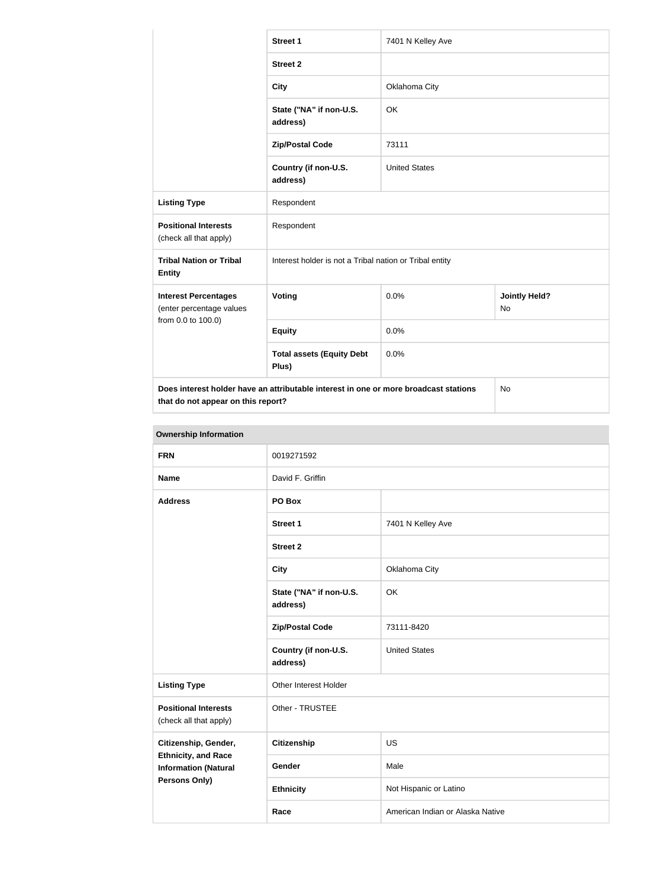|                                                         | <b>Street 1</b>                                                                      | 7401 N Kelley Ave    |                                   |
|---------------------------------------------------------|--------------------------------------------------------------------------------------|----------------------|-----------------------------------|
|                                                         | <b>Street 2</b>                                                                      |                      |                                   |
|                                                         | <b>City</b>                                                                          | Oklahoma City        |                                   |
|                                                         | State ("NA" if non-U.S.<br>address)                                                  | OK                   |                                   |
|                                                         | <b>Zip/Postal Code</b>                                                               | 73111                |                                   |
|                                                         | Country (if non-U.S.<br>address)                                                     | <b>United States</b> |                                   |
| <b>Listing Type</b>                                     | Respondent                                                                           |                      |                                   |
| <b>Positional Interests</b><br>(check all that apply)   | Respondent                                                                           |                      |                                   |
| <b>Tribal Nation or Tribal</b><br><b>Entity</b>         | Interest holder is not a Tribal nation or Tribal entity                              |                      |                                   |
| <b>Interest Percentages</b><br>(enter percentage values | Voting                                                                               | 0.0%                 | <b>Jointly Held?</b><br><b>No</b> |
| from 0.0 to 100.0)                                      | <b>Equity</b>                                                                        | 0.0%                 |                                   |
|                                                         | <b>Total assets (Equity Debt</b><br>Plus)                                            | 0.0%                 |                                   |
| that do not appear on this report?                      | Does interest holder have an attributable interest in one or more broadcast stations |                      | No                                |

| <b>Ownership Information</b>                              |                                     |                                  |
|-----------------------------------------------------------|-------------------------------------|----------------------------------|
| <b>FRN</b>                                                | 0019271592                          |                                  |
| <b>Name</b>                                               | David F. Griffin                    |                                  |
| <b>Address</b>                                            | PO Box                              |                                  |
|                                                           | <b>Street 1</b>                     | 7401 N Kelley Ave                |
|                                                           | <b>Street 2</b>                     |                                  |
|                                                           | <b>City</b>                         | Oklahoma City                    |
|                                                           | State ("NA" if non-U.S.<br>address) | OK                               |
|                                                           | <b>Zip/Postal Code</b>              | 73111-8420                       |
|                                                           | Country (if non-U.S.<br>address)    | <b>United States</b>             |
| <b>Listing Type</b>                                       | Other Interest Holder               |                                  |
| <b>Positional Interests</b><br>(check all that apply)     | Other - TRUSTEE                     |                                  |
| Citizenship, Gender,                                      | <b>Citizenship</b>                  | <b>US</b>                        |
| <b>Ethnicity, and Race</b><br><b>Information (Natural</b> | Gender                              | Male                             |
| <b>Persons Only)</b>                                      | <b>Ethnicity</b>                    | Not Hispanic or Latino           |
|                                                           | Race                                | American Indian or Alaska Native |

and the control of the control of the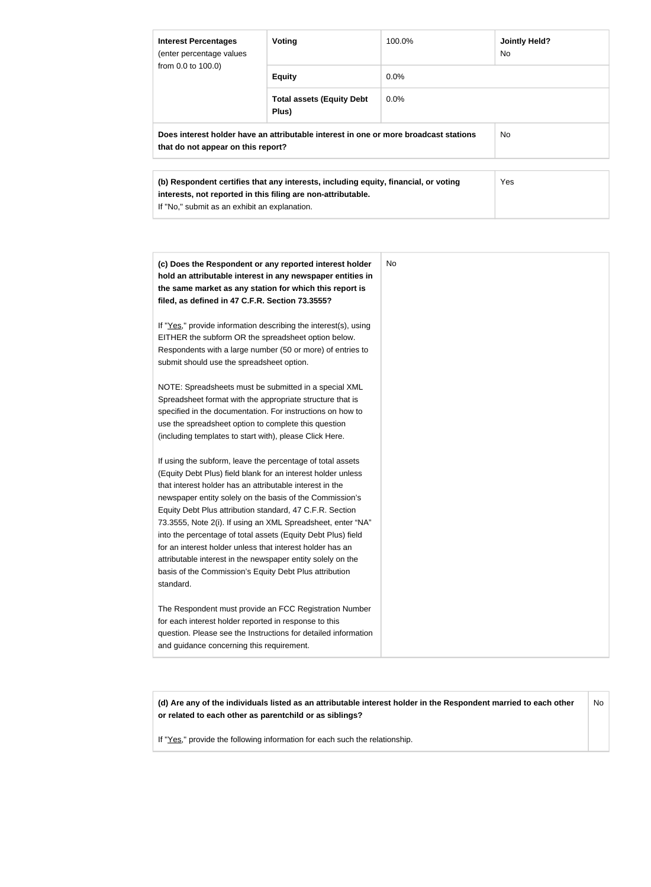| <b>Interest Percentages</b><br>(enter percentage values | Voting                                                                                                                                              | 100.0%  | <b>Jointly Held?</b><br>No. |
|---------------------------------------------------------|-----------------------------------------------------------------------------------------------------------------------------------------------------|---------|-----------------------------|
| from 0.0 to 100.0)                                      | <b>Equity</b>                                                                                                                                       | $0.0\%$ |                             |
|                                                         | <b>Total assets (Equity Debt</b><br>Plus)                                                                                                           | 0.0%    |                             |
| that do not appear on this report?                      | Does interest holder have an attributable interest in one or more broadcast stations                                                                |         | No.                         |
| If "No," submit as an exhibit an explanation.           | (b) Respondent certifies that any interests, including equity, financial, or voting<br>interests, not reported in this filing are non-attributable. |         | <b>Yes</b>                  |

| (c) Does the Respondent or any reported interest holder<br>hold an attributable interest in any newspaper entities in<br>the same market as any station for which this report is<br>filed, as defined in 47 C.F.R. Section 73.3555?                                                                                                                                                                                                                                                                                                                                                                                                              | No |
|--------------------------------------------------------------------------------------------------------------------------------------------------------------------------------------------------------------------------------------------------------------------------------------------------------------------------------------------------------------------------------------------------------------------------------------------------------------------------------------------------------------------------------------------------------------------------------------------------------------------------------------------------|----|
| If "Yes," provide information describing the interest(s), using<br>EITHER the subform OR the spreadsheet option below.<br>Respondents with a large number (50 or more) of entries to<br>submit should use the spreadsheet option.                                                                                                                                                                                                                                                                                                                                                                                                                |    |
| NOTE: Spreadsheets must be submitted in a special XML<br>Spreadsheet format with the appropriate structure that is<br>specified in the documentation. For instructions on how to<br>use the spreadsheet option to complete this question<br>(including templates to start with), please Click Here.                                                                                                                                                                                                                                                                                                                                              |    |
| If using the subform, leave the percentage of total assets<br>(Equity Debt Plus) field blank for an interest holder unless<br>that interest holder has an attributable interest in the<br>newspaper entity solely on the basis of the Commission's<br>Equity Debt Plus attribution standard, 47 C.F.R. Section<br>73.3555, Note 2(i). If using an XML Spreadsheet, enter "NA"<br>into the percentage of total assets (Equity Debt Plus) field<br>for an interest holder unless that interest holder has an<br>attributable interest in the newspaper entity solely on the<br>basis of the Commission's Equity Debt Plus attribution<br>standard. |    |
| The Respondent must provide an FCC Registration Number<br>for each interest holder reported in response to this<br>question. Please see the Instructions for detailed information<br>and guidance concerning this requirement.                                                                                                                                                                                                                                                                                                                                                                                                                   |    |

**(d) Are any of the individuals listed as an attributable interest holder in the Respondent married to each other or related to each other as parentchild or as siblings?** No

If "Yes," provide the following information for each such the relationship.